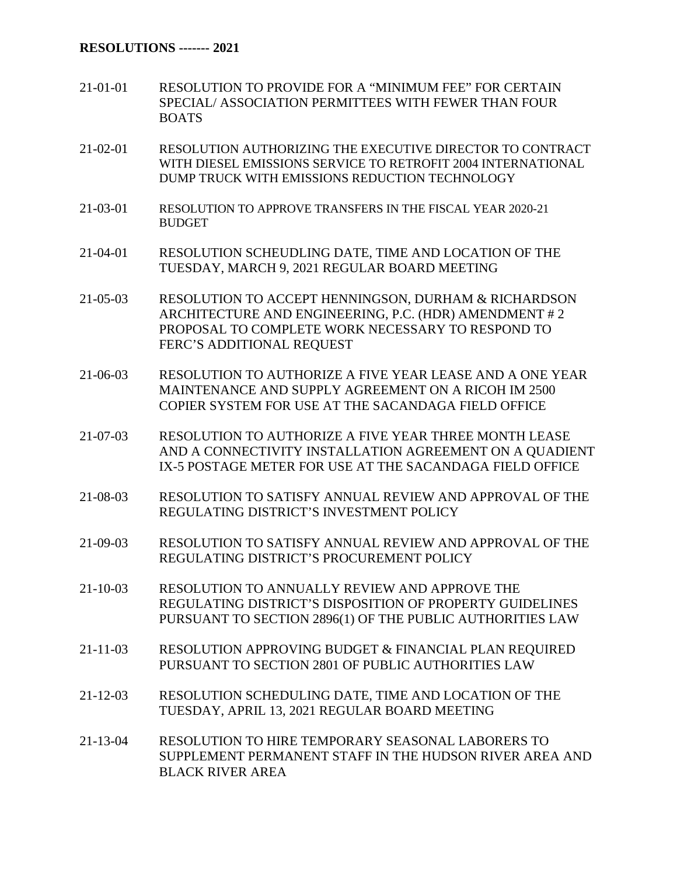- 21-01-01 RESOLUTION TO PROVIDE FOR A "MINIMUM FEE" FOR CERTAIN SPECIAL/ ASSOCIATION PERMITTEES WITH FEWER THAN FOUR BOATS
- 21-02-01 RESOLUTION AUTHORIZING THE EXECUTIVE DIRECTOR TO CONTRACT WITH DIESEL EMISSIONS SERVICE TO RETROFIT 2004 INTERNATIONAL DUMP TRUCK WITH EMISSIONS REDUCTION TECHNOLOGY
- 21-03-01 RESOLUTION TO APPROVE TRANSFERS IN THE FISCAL YEAR 2020-21 BUDGET
- 21-04-01 RESOLUTION SCHEUDLING DATE, TIME AND LOCATION OF THE TUESDAY, MARCH 9, 2021 REGULAR BOARD MEETING
- 21-05-03 RESOLUTION TO ACCEPT HENNINGSON, DURHAM & RICHARDSON ARCHITECTURE AND ENGINEERING, P.C. (HDR) AMENDMENT # 2 PROPOSAL TO COMPLETE WORK NECESSARY TO RESPOND TO FERC'S ADDITIONAL REQUEST
- 21-06-03 RESOLUTION TO AUTHORIZE A FIVE YEAR LEASE AND A ONE YEAR MAINTENANCE AND SUPPLY AGREEMENT ON A RICOH IM 2500 COPIER SYSTEM FOR USE AT THE SACANDAGA FIELD OFFICE
- 21-07-03 RESOLUTION TO AUTHORIZE A FIVE YEAR THREE MONTH LEASE AND A CONNECTIVITY INSTALLATION AGREEMENT ON A QUADIENT IX-5 POSTAGE METER FOR USE AT THE SACANDAGA FIELD OFFICE
- 21-08-03 RESOLUTION TO SATISFY ANNUAL REVIEW AND APPROVAL OF THE REGULATING DISTRICT'S INVESTMENT POLICY
- 21-09-03 RESOLUTION TO SATISFY ANNUAL REVIEW AND APPROVAL OF THE REGULATING DISTRICT'S PROCUREMENT POLICY
- 21-10-03 RESOLUTION TO ANNUALLY REVIEW AND APPROVE THE REGULATING DISTRICT'S DISPOSITION OF PROPERTY GUIDELINES PURSUANT TO SECTION 2896(1) OF THE PUBLIC AUTHORITIES LAW
- 21-11-03 RESOLUTION APPROVING BUDGET & FINANCIAL PLAN REQUIRED PURSUANT TO SECTION 2801 OF PUBLIC AUTHORITIES LAW
- 21-12-03 RESOLUTION SCHEDULING DATE, TIME AND LOCATION OF THE TUESDAY, APRIL 13, 2021 REGULAR BOARD MEETING
- 21-13-04 RESOLUTION TO HIRE TEMPORARY SEASONAL LABORERS TO SUPPLEMENT PERMANENT STAFF IN THE HUDSON RIVER AREA AND BLACK RIVER AREA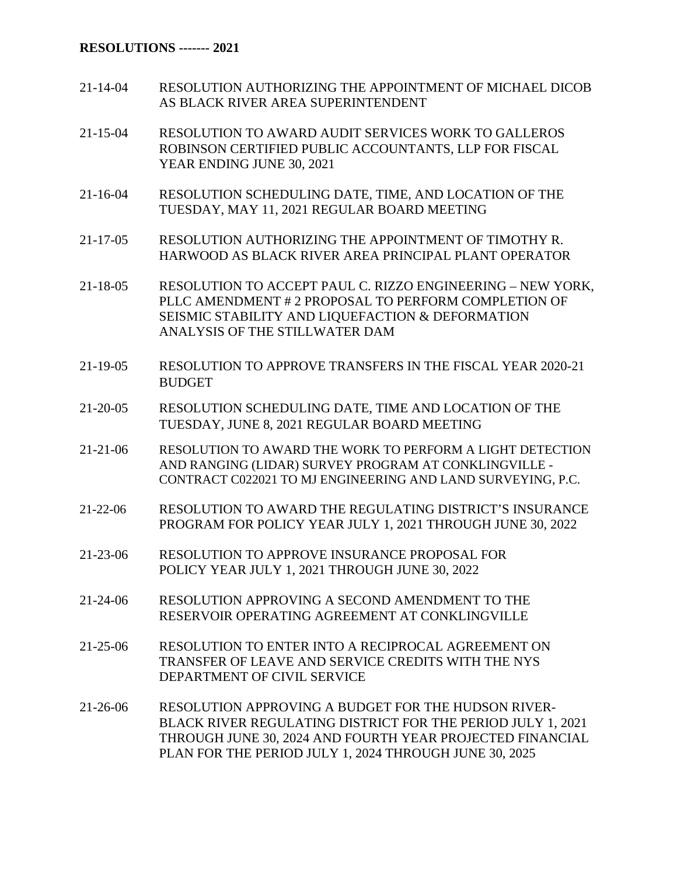## **RESOLUTIONS ------- 2021**

- 21-14-04 RESOLUTION AUTHORIZING THE APPOINTMENT OF MICHAEL DICOB AS BLACK RIVER AREA SUPERINTENDENT
- 21-15-04 RESOLUTION TO AWARD AUDIT SERVICES WORK TO GALLEROS ROBINSON CERTIFIED PUBLIC ACCOUNTANTS, LLP FOR FISCAL YEAR ENDING JUNE 30, 2021
- 21-16-04 RESOLUTION SCHEDULING DATE, TIME, AND LOCATION OF THE TUESDAY, MAY 11, 2021 REGULAR BOARD MEETING
- 21-17-05 RESOLUTION AUTHORIZING THE APPOINTMENT OF TIMOTHY R. HARWOOD AS BLACK RIVER AREA PRINCIPAL PLANT OPERATOR
- 21-18-05 RESOLUTION TO ACCEPT PAUL C. RIZZO ENGINEERING NEW YORK, PLLC AMENDMENT # 2 PROPOSAL TO PERFORM COMPLETION OF SEISMIC STABILITY AND LIQUEFACTION & DEFORMATION ANALYSIS OF THE STILLWATER DAM
- 21-19-05 RESOLUTION TO APPROVE TRANSFERS IN THE FISCAL YEAR 2020-21 BUDGET
- 21-20-05 RESOLUTION SCHEDULING DATE, TIME AND LOCATION OF THE TUESDAY, JUNE 8, 2021 REGULAR BOARD MEETING
- 21-21-06 RESOLUTION TO AWARD THE WORK TO PERFORM A LIGHT DETECTION AND RANGING (LIDAR) SURVEY PROGRAM AT CONKLINGVILLE - CONTRACT C022021 TO MJ ENGINEERING AND LAND SURVEYING, P.C.
- 21-22-06 RESOLUTION TO AWARD THE REGULATING DISTRICT'S INSURANCE PROGRAM FOR POLICY YEAR JULY 1, 2021 THROUGH JUNE 30, 2022
- 21-23-06 RESOLUTION TO APPROVE INSURANCE PROPOSAL FOR POLICY YEAR JULY 1, 2021 THROUGH JUNE 30, 2022
- 21-24-06 RESOLUTION APPROVING A SECOND AMENDMENT TO THE RESERVOIR OPERATING AGREEMENT AT CONKLINGVILLE
- 21-25-06 RESOLUTION TO ENTER INTO A RECIPROCAL AGREEMENT ON TRANSFER OF LEAVE AND SERVICE CREDITS WITH THE NYS DEPARTMENT OF CIVIL SERVICE
- 21-26-06 RESOLUTION APPROVING A BUDGET FOR THE HUDSON RIVER-BLACK RIVER REGULATING DISTRICT FOR THE PERIOD JULY 1, 2021 THROUGH JUNE 30, 2024 AND FOURTH YEAR PROJECTED FINANCIAL PLAN FOR THE PERIOD JULY 1, 2024 THROUGH JUNE 30, 2025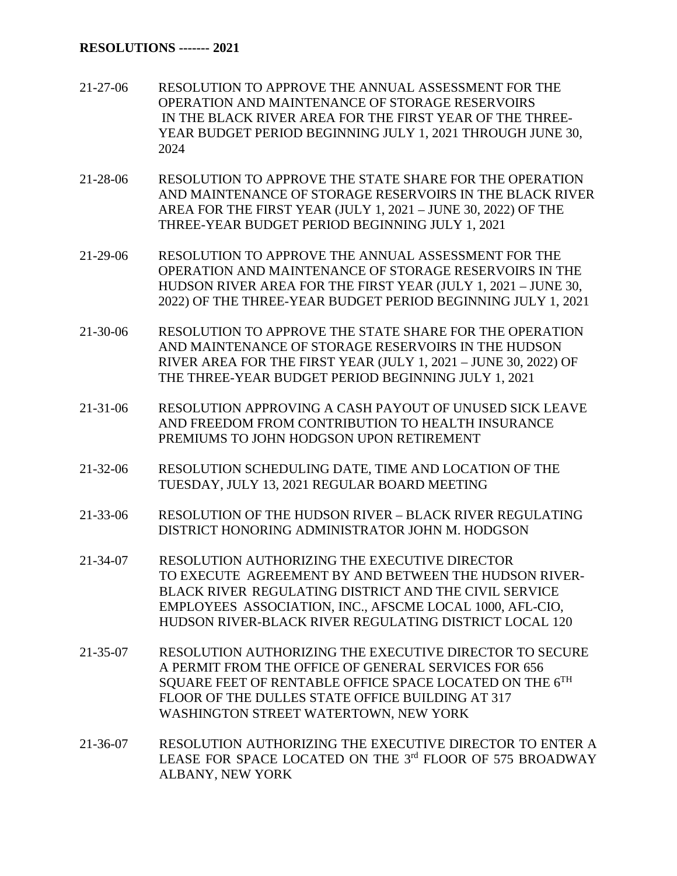- 21-27-06 RESOLUTION TO APPROVE THE ANNUAL ASSESSMENT FOR THE OPERATION AND MAINTENANCE OF STORAGE RESERVOIRS IN THE BLACK RIVER AREA FOR THE FIRST YEAR OF THE THREE-YEAR BUDGET PERIOD BEGINNING JULY 1, 2021 THROUGH JUNE 30, 2024
- 21-28-06 RESOLUTION TO APPROVE THE STATE SHARE FOR THE OPERATION AND MAINTENANCE OF STORAGE RESERVOIRS IN THE BLACK RIVER AREA FOR THE FIRST YEAR (JULY 1, 2021 – JUNE 30, 2022) OF THE THREE-YEAR BUDGET PERIOD BEGINNING JULY 1, 2021
- 21-29-06 RESOLUTION TO APPROVE THE ANNUAL ASSESSMENT FOR THE OPERATION AND MAINTENANCE OF STORAGE RESERVOIRS IN THE HUDSON RIVER AREA FOR THE FIRST YEAR (JULY 1, 2021 – JUNE 30, 2022) OF THE THREE-YEAR BUDGET PERIOD BEGINNING JULY 1, 2021
- 21-30-06 RESOLUTION TO APPROVE THE STATE SHARE FOR THE OPERATION AND MAINTENANCE OF STORAGE RESERVOIRS IN THE HUDSON RIVER AREA FOR THE FIRST YEAR (JULY 1, 2021 – JUNE 30, 2022) OF THE THREE-YEAR BUDGET PERIOD BEGINNING JULY 1, 2021
- 21-31-06 RESOLUTION APPROVING A CASH PAYOUT OF UNUSED SICK LEAVE AND FREEDOM FROM CONTRIBUTION TO HEALTH INSURANCE PREMIUMS TO JOHN HODGSON UPON RETIREMENT
- 21-32-06 RESOLUTION SCHEDULING DATE, TIME AND LOCATION OF THE TUESDAY, JULY 13, 2021 REGULAR BOARD MEETING
- 21-33-06 RESOLUTION OF THE HUDSON RIVER BLACK RIVER REGULATING DISTRICT HONORING ADMINISTRATOR JOHN M. HODGSON
- 21-34-07 RESOLUTION AUTHORIZING THE EXECUTIVE DIRECTOR TO EXECUTE AGREEMENT BY AND BETWEEN THE HUDSON RIVER-BLACK RIVER REGULATING DISTRICT AND THE CIVIL SERVICE EMPLOYEES ASSOCIATION, INC., AFSCME LOCAL 1000, AFL-CIO, HUDSON RIVER-BLACK RIVER REGULATING DISTRICT LOCAL 120
- 21-35-07 RESOLUTION AUTHORIZING THE EXECUTIVE DIRECTOR TO SECURE A PERMIT FROM THE OFFICE OF GENERAL SERVICES FOR 656 SOUARE FEET OF RENTABLE OFFICE SPACE LOCATED ON THE 6TH FLOOR OF THE DULLES STATE OFFICE BUILDING AT 317 WASHINGTON STREET WATERTOWN, NEW YORK
- 21-36-07 RESOLUTION AUTHORIZING THE EXECUTIVE DIRECTOR TO ENTER A LEASE FOR SPACE LOCATED ON THE 3rd FLOOR OF 575 BROADWAY ALBANY, NEW YORK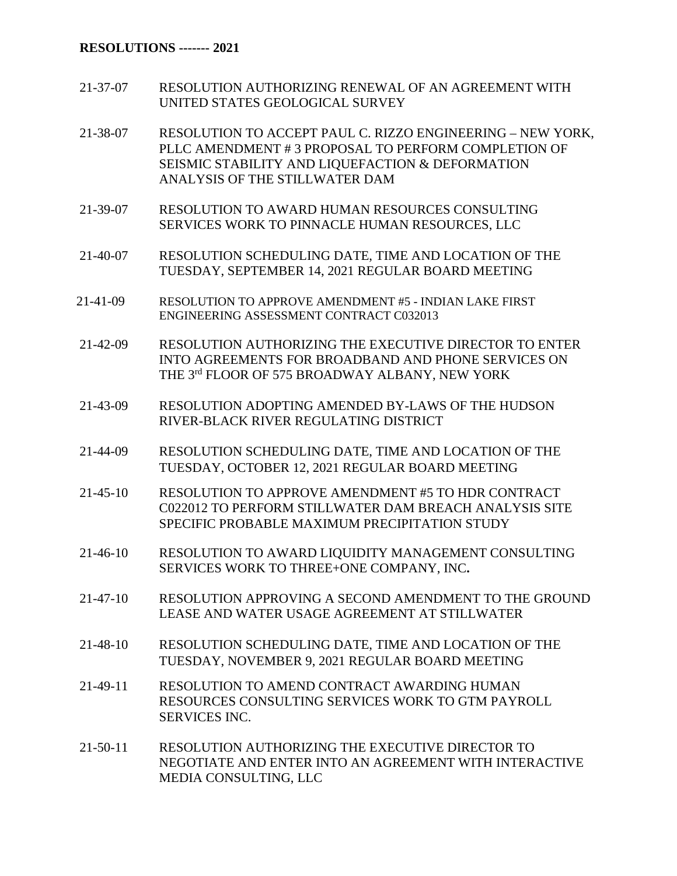## **RESOLUTIONS ------- 2021**

- 21-37-07 RESOLUTION AUTHORIZING RENEWAL OF AN AGREEMENT WITH UNITED STATES GEOLOGICAL SURVEY
- 21-38-07 RESOLUTION TO ACCEPT PAUL C. RIZZO ENGINEERING NEW YORK, PLLC AMENDMENT # 3 PROPOSAL TO PERFORM COMPLETION OF SEISMIC STABILITY AND LIQUEFACTION & DEFORMATION ANALYSIS OF THE STILLWATER DAM
- 21-39-07 RESOLUTION TO AWARD HUMAN RESOURCES CONSULTING SERVICES WORK TO PINNACLE HUMAN RESOURCES, LLC
- 21-40-07 RESOLUTION SCHEDULING DATE, TIME AND LOCATION OF THE TUESDAY, SEPTEMBER 14, 2021 REGULAR BOARD MEETING
- 21-41-09 RESOLUTION TO APPROVE AMENDMENT #5 INDIAN LAKE FIRST ENGINEERING ASSESSMENT CONTRACT C032013
- 21-42-09 RESOLUTION AUTHORIZING THE EXECUTIVE DIRECTOR TO ENTER INTO AGREEMENTS FOR BROADBAND AND PHONE SERVICES ON THE 3rd FLOOR OF 575 BROADWAY ALBANY, NEW YORK
- 21-43-09 RESOLUTION ADOPTING AMENDED BY-LAWS OF THE HUDSON RIVER-BLACK RIVER REGULATING DISTRICT
- 21-44-09 RESOLUTION SCHEDULING DATE, TIME AND LOCATION OF THE TUESDAY, OCTOBER 12, 2021 REGULAR BOARD MEETING
- 21-45-10 RESOLUTION TO APPROVE AMENDMENT #5 TO HDR CONTRACT C022012 TO PERFORM STILLWATER DAM BREACH ANALYSIS SITE SPECIFIC PROBABLE MAXIMUM PRECIPITATION STUDY
- 21-46-10 RESOLUTION TO AWARD LIQUIDITY MANAGEMENT CONSULTING SERVICES WORK TO THREE+ONE COMPANY, INC**.**
- 21-47-10 RESOLUTION APPROVING A SECOND AMENDMENT TO THE GROUND LEASE AND WATER USAGE AGREEMENT AT STILLWATER
- 21-48-10 RESOLUTION SCHEDULING DATE, TIME AND LOCATION OF THE TUESDAY, NOVEMBER 9, 2021 REGULAR BOARD MEETING
- 21-49-11 RESOLUTION TO AMEND CONTRACT AWARDING HUMAN RESOURCES CONSULTING SERVICES WORK TO GTM PAYROLL SERVICES INC.
- 21-50-11 RESOLUTION AUTHORIZING THE EXECUTIVE DIRECTOR TO NEGOTIATE AND ENTER INTO AN AGREEMENT WITH INTERACTIVE MEDIA CONSULTING, LLC